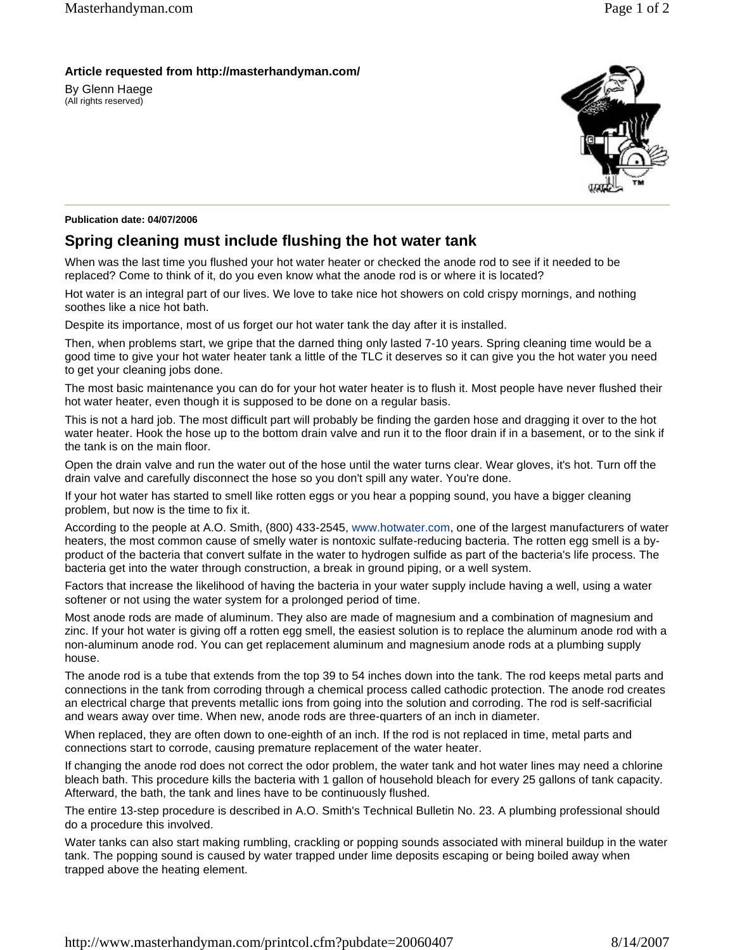## **Article requested from http://masterhandyman.com/**

By Glenn Haege (All rights reserved)



## **Publication date: 04/07/2006**

## **Spring cleaning must include flushing the hot water tank**

When was the last time you flushed your hot water heater or checked the anode rod to see if it needed to be replaced? Come to think of it, do you even know what the anode rod is or where it is located?

Hot water is an integral part of our lives. We love to take nice hot showers on cold crispy mornings, and nothing soothes like a nice hot bath.

Despite its importance, most of us forget our hot water tank the day after it is installed.

Then, when problems start, we gripe that the darned thing only lasted 7-10 years. Spring cleaning time would be a good time to give your hot water heater tank a little of the TLC it deserves so it can give you the hot water you need to get your cleaning jobs done.

The most basic maintenance you can do for your hot water heater is to flush it. Most people have never flushed their hot water heater, even though it is supposed to be done on a regular basis.

This is not a hard job. The most difficult part will probably be finding the garden hose and dragging it over to the hot water heater. Hook the hose up to the bottom drain valve and run it to the floor drain if in a basement, or to the sink if the tank is on the main floor.

Open the drain valve and run the water out of the hose until the water turns clear. Wear gloves, it's hot. Turn off the drain valve and carefully disconnect the hose so you don't spill any water. You're done.

If your hot water has started to smell like rotten eggs or you hear a popping sound, you have a bigger cleaning problem, but now is the time to fix it.

According to the people at A.O. Smith, (800) 433-2545, www.hotwater.com, one of the largest manufacturers of water heaters, the most common cause of smelly water is nontoxic sulfate-reducing bacteria. The rotten egg smell is a byproduct of the bacteria that convert sulfate in the water to hydrogen sulfide as part of the bacteria's life process. The bacteria get into the water through construction, a break in ground piping, or a well system.

Factors that increase the likelihood of having the bacteria in your water supply include having a well, using a water softener or not using the water system for a prolonged period of time.

Most anode rods are made of aluminum. They also are made of magnesium and a combination of magnesium and zinc. If your hot water is giving off a rotten egg smell, the easiest solution is to replace the aluminum anode rod with a non-aluminum anode rod. You can get replacement aluminum and magnesium anode rods at a plumbing supply house.

The anode rod is a tube that extends from the top 39 to 54 inches down into the tank. The rod keeps metal parts and connections in the tank from corroding through a chemical process called cathodic protection. The anode rod creates an electrical charge that prevents metallic ions from going into the solution and corroding. The rod is self-sacrificial and wears away over time. When new, anode rods are three-quarters of an inch in diameter.

When replaced, they are often down to one-eighth of an inch. If the rod is not replaced in time, metal parts and connections start to corrode, causing premature replacement of the water heater.

If changing the anode rod does not correct the odor problem, the water tank and hot water lines may need a chlorine bleach bath. This procedure kills the bacteria with 1 gallon of household bleach for every 25 gallons of tank capacity. Afterward, the bath, the tank and lines have to be continuously flushed.

The entire 13-step procedure is described in A.O. Smith's Technical Bulletin No. 23. A plumbing professional should do a procedure this involved.

Water tanks can also start making rumbling, crackling or popping sounds associated with mineral buildup in the water tank. The popping sound is caused by water trapped under lime deposits escaping or being boiled away when trapped above the heating element.